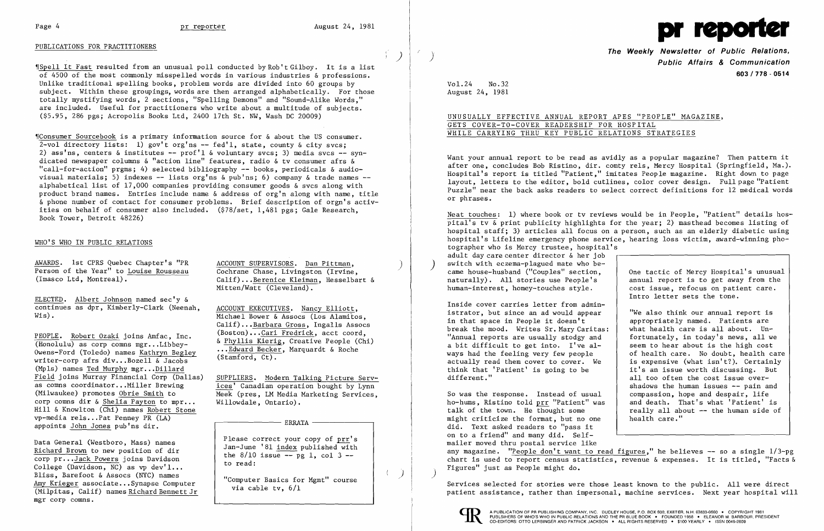## PUBLICATIONS FOR PRACTITIONERS

"Spell It Fast resulted from an unusual poll conducted by Rob't Gilboy. It is a list of 4500 of the most commonly misspelled words in various industries & professions. Unlike traditional spelling books, problem words are divided into 60 groups by subject. Within these groupings, words are then arranged alphabetically. For those totally mystifying words, 2 sections, "Spelling Demons" and "Sound-Alike Words," are included. Useful for practitioners who write about a multitude of subjects. (\$5.95, 286 pgs; Acropolis Books Ltd, 2400 17th St. NW, Wash DC 20009)

 $C$ Consumer Sourcebook is a primary information source for  $\&$  about the US consumer. 2-vol directory lists: 1) gov't org'ns -- fed'l, state, county  $\&$  city svcs: 2) ass'ns, centers & institutes --  $prof'1$  & voluntary svcs; 3) media svcs -- syndicated newspaper columns  $\&$  "action line" features, radio  $\&$  tv consumer afrs  $\&$ "call-for-action" prgms; 4) selected bibliography  $-$  books, periodicals & audiovisual materials; 5) indexes  $-$  lists org'ns & pub'ns; 6) company & trade names  $$ alphabetical list of 17,000 companies providing consumer goods & svcs along with product brand names. Entries include name & address of org'n along with name, title &phone number of contact for consumer problems. Brief description of orgn's activities on behalf of consumer also included. (\$78/set, 1,481 pgs; Gale Research, Book Tower, Detroit 48226)

> Calif)...Berenice Kleiman, Hesselbart & Mitten/Watt (Cleveland).

ELECTED. Albert Johnson named sec'y & continues as dpr, Kimberly-Clark (Neenah,  $\frac{\text{ACCOUNT EXECUTIVES.}}{\text{Michael Bower & Assocs (Loss Alamito)}}$ 

Michael Bower & Assocs (Los Alamitos, Calif)... Barbara Gross, Ingalls Assocs<br>(Boston)...Cari Fredrick. acct coord.

PEOPLE. Robert Ozaki joins Amfac, Inc. (Boston)...Cari Fredrick, acct coord, (Honolulu) as corp comns mgr...Libbey-<br>Owens-Ford (Toledo) names <u>Kathryn Begley</u> ....Edward Becker</u>, Marquardt & Roche<br>writer-corp afrs div...Bo writer-corp afrs div...Bozell & Jacobs<br>(Mpls) names <u>Ted Murphy</u> mgr...<u>Dillard</u><br>Field joins Murray Financial Corp (Dallas) Field joins Murray Financial Corp (Dallas) SUPPLIERS. Modern Talking Picture Serv-<br>as comns coordinator...Miller Brewing (ces' Canadian operation bought by Lynn) as comns coordinator... Miller Brewing ices' Canadian operation bought by Lynn<br>(Milwaukee) promotes Obrie Smith to Meek (pres. I.M Media Marketing Services corp comns dir & Shelia Payton to mpr... Hill & Knowlton (Chi) names Robert Stone vp-media rels...Pat Penney PR  $(LA)$ <br>appoints John Jones pub'ns dir.

Meek (pres, LM Media Marketing Services, Willowdale, Ontario).

 $\mathcal{L}^{\pm}$ 

 $\overrightarrow{y}$ 

# WHO'S WHO IN PUBLIC RELATIONS

AWARDS. 1st CPRS Quebec Chapter's "PR<br>
Person of the Year" to Louise Rousseau Cochrane Chase, Livingston (Irvine,<br>
(Imasco Ltd, Montreal). (alif)...Berenice Kleiman. Hesselba

Data General (Westboro, Mass) names<br>
Richard Brown to new position of dir<br>
corp pr...<u>Jack Powers</u> joins Davidson<br>  $\begin{array}{c|c|c|c|c} \text{Please correct your copy of } & \text{prr's} \\ \hline \text{Lap} & \text{Jan-June '81 index published with} \\ \text{the 8/10 issue -- pg 1, col 3 --} \\ \text{to read:} \end{array}$ College (Davidson, NC) as vp dev'l...<br>Bliss, Barefoot & Assocs (NYC) names Bliss, Barefoot & Assocs (NYC) names<br>
Amy Krieger associate...Synapse Computer  $\frac{Amp}{N}$  (Milpitas, Calif) names Richard Bennett Jr (Milpitas, Calif) names Richard Bennett Jr mgr corp comns.

 $Vol.24$ No.32 August 24, 1981

Inside cover carries letter from admin istrator, but since an ad would appear<br>in that space in People it doesn't break the mood. Writes Sr. Mary Caritas: what health care is all about. Un-<br>"Annual reports are usually stodgy and fortunately, in today's news, all we "Annual reports are usually stodgy and  $\begin{array}{|l|} \hline \end{array}$  fortunately, in today's news, all we a bit difficult to get into. I've al-  $\begin{array}{|l|} \hline \end{array}$  seem to hear about is the high cost a bit difficult to get into. I've al seem to hear about is the high cost ways had the feeling very few people actually read them cover to cover. We  $\begin{array}{|l|l|}$  is expensive (what isn't?). Certainly think that 'Patient' is going to be  $\begin{array}{c|l} i & i & s \end{array}$  it's an issue worth discussing. But think that 'Patient' is going to be it's an issue worth discussing. But<br>different." all too often the cost issue over-

 "We also think our annual report is appropriately named. Patients are<br>what health care is all about. Unall too often the cost issue overshadows the human issues -- pain and<br>compassion, hope and despair, life

So was the response. Instead of usual compassion, hope and despair, life<br>ho-hums, Ristino told prr "Patient" was | and death. That's what 'Patient' is ho-hums, Ristino told prr "Patient" was talk of the town. He thought some really all about  $-$  the human side of health care." might criticize the format, but no one did. Text asked readers to "pass it on to a friend" and many did. Selfmailer moved thru postal service like any magazine. "People don't want to read figures." he believes  $-$  so a single  $1/3$ -pg chart is used to report census statistics, revenue & expenses. It is titled, "Facts & Figures" just as People might do. )



**The Weekly Newsletter of Public Relations,** ) **Public Affairs & Communication 603/778 - 0514** 

UNUSUALLY EFFECTIVE ANNUAL REPORT APES "PEOPLE" MAGAZINE, GETS COVER-TO-COVER READERSHIP FOR HOSPITAL WHILE CARRYING THRU KEY PUBLIC RELATIONS STRATEGIES

Want your annual report to be read as avidly as a popular magazine? Then pattern it after one, concludes Bob Ristino, dir. comty rels, Mercy Hospital (Springfield, Ma.). Hospital's report is titled "Patient," imitates People magazine. Right down to page layout, letters to the editor, bold cutlines, color cover design. Full page "Patient Puzzle" near the back asks readers to select correct definitions for 12 medical words or phrases.

Neat touches: 1) where book or tv reviews would be in People, "Patient" details hospital's tv & print publicity highlights for the year; 2) masthead becomes listing of hospital staff; 3) articles all focus on a person, such as an elderly diabetic using hospital's Lifeline emergency phone service, hearing loss victim, award-winning photographer who is Mercy trustee, hospital's adult day care center director & her job switch with eczema-plagued mate who became house-husband ("Couples" section,  $\begin{array}{|l|l|} \hline \end{array}$  One tactic of Mercy Hospital's unusual naturally). All stories use People's  $\begin{array}{c|c|c} \hline \end{array}$  annual report is to get away from the naturally). All stories use People's annual report is to get away from the human-interest, homey-touches style. cost issue, refocus on patient care. Intro letter sets the tone.

Services selected for stories were those least known to the public. All were direct patient assistance, rather than impersonal, machine services. Next year hospital will